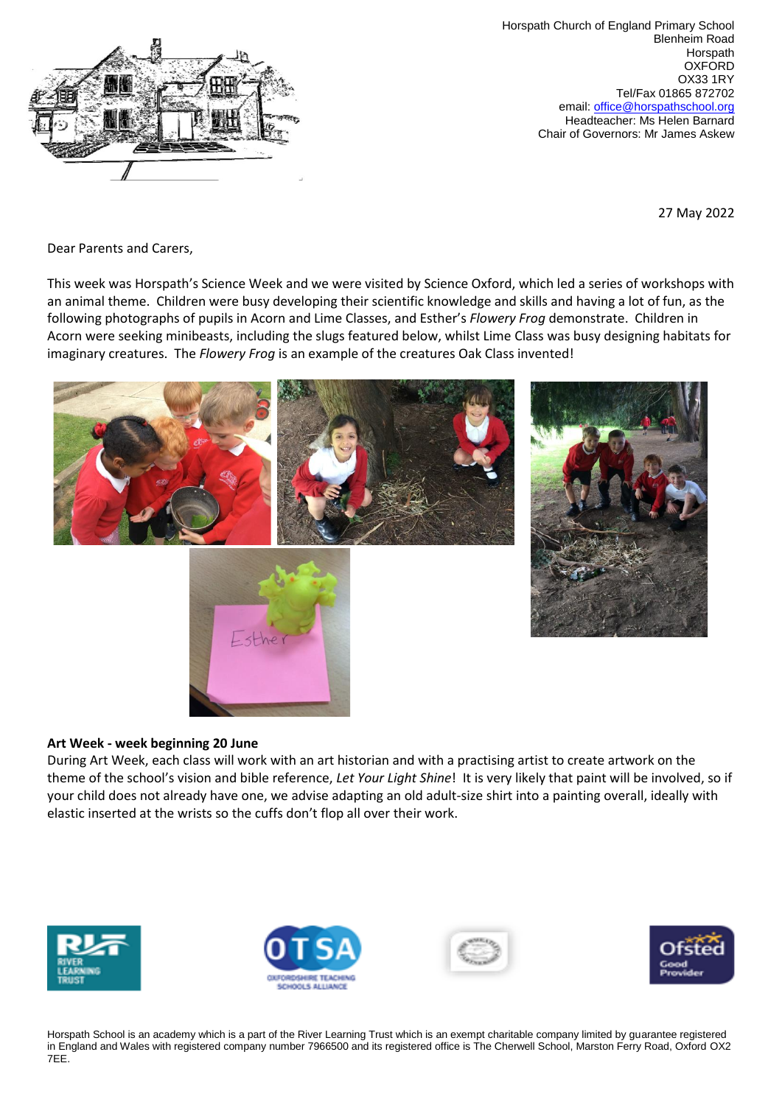

Horspath Church of England Primary School Blenheim Road Horspath **OXFORD** OX33 1RY Tel/Fax 01865 872702 email: [office@horspathschool.org](mailto:office@horspathschool.orgk) Headteacher: Ms Helen Barnard Chair of Governors: Mr James Askew

27 May 2022

Dear Parents and Carers,

This week was Horspath's Science Week and we were visited by Science Oxford, which led a series of workshops with an animal theme. Children were busy developing their scientific knowledge and skills and having a lot of fun, as the following photographs of pupils in Acorn and Lime Classes, and Esther's *Flowery Frog* demonstrate. Children in Acorn were seeking minibeasts, including the slugs featured below, whilst Lime Class was busy designing habitats for imaginary creatures. The *Flowery Frog* is an example of the creatures Oak Class invented!



#### **Art Week - week beginning 20 June**

During Art Week, each class will work with an art historian and with a practising artist to create artwork on the theme of the school's vision and bible reference, *Let Your Light Shine*! It is very likely that paint will be involved, so if your child does not already have one, we advise adapting an old adult-size shirt into a painting overall, ideally with elastic inserted at the wrists so the cuffs don't flop all over their work.







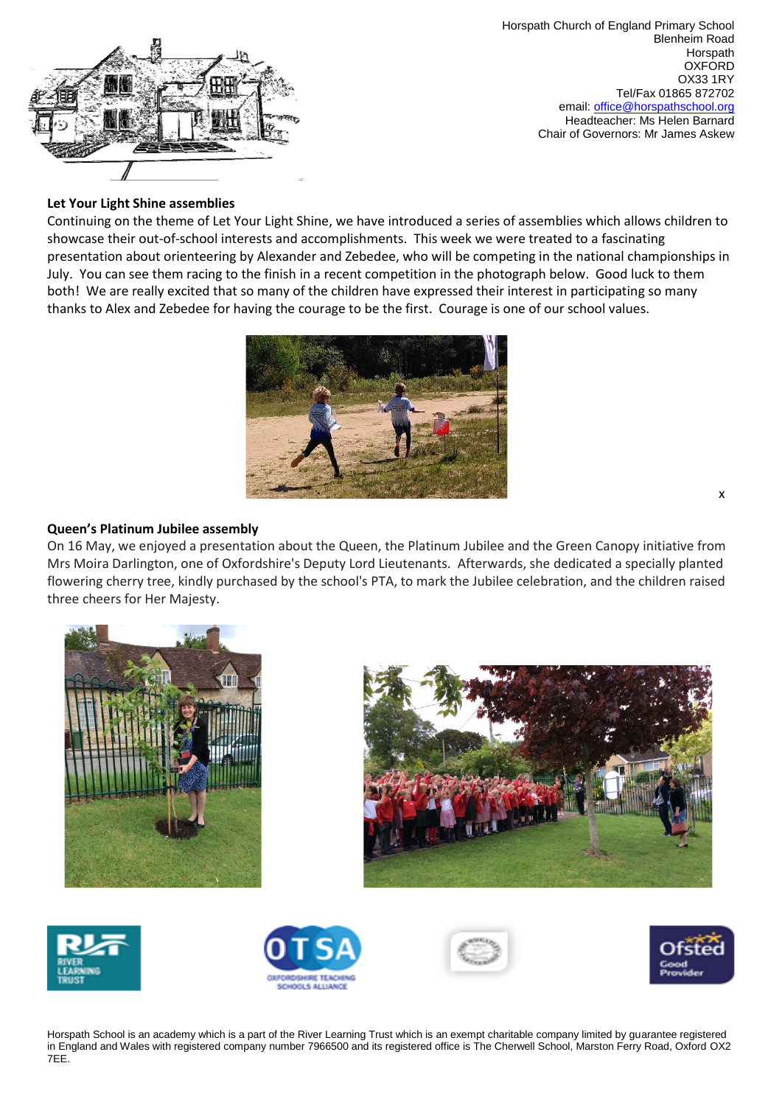

Horspath Church of England Primary School Blenheim Road Horspath **OXFORD** OX33 1RY Tel/Fax 01865 872702 email: [office@horspathschool.org](mailto:office@horspathschool.orgk) Headteacher: Ms Helen Barnard Chair of Governors: Mr James Askew

# **Let Your Light Shine assemblies**

Continuing on the theme of Let Your Light Shine, we have introduced a series of assemblies which allows children to showcase their out-of-school interests and accomplishments. This week we were treated to a fascinating presentation about orienteering by Alexander and Zebedee, who will be competing in the national championships in July. You can see them racing to the finish in a recent competition in the photograph below. Good luck to them both! We are really excited that so many of the children have expressed their interest in participating so many thanks to Alex and Zebedee for having the courage to be the first. Courage is one of our school values.



### **Queen's Platinum Jubilee assembly**

On 16 May, we enjoyed a presentation about the Queen, the Platinum Jubilee and the Green Canopy initiative from Mrs Moira Darlington, one of Oxfordshire's Deputy Lord Lieutenants. Afterwards, she dedicated a specially planted flowering cherry tree, kindly purchased by the school's PTA, to mark the Jubilee celebration, and the children raised three cheers for Her Majesty.













Horspath School is an academy which is a part of the River Learning Trust which is an exempt charitable company limited by guarantee registered in England and Wales with registered company number 7966500 and its registered office is The Cherwell School, Marston Ferry Road, Oxford OX2 7EE.

x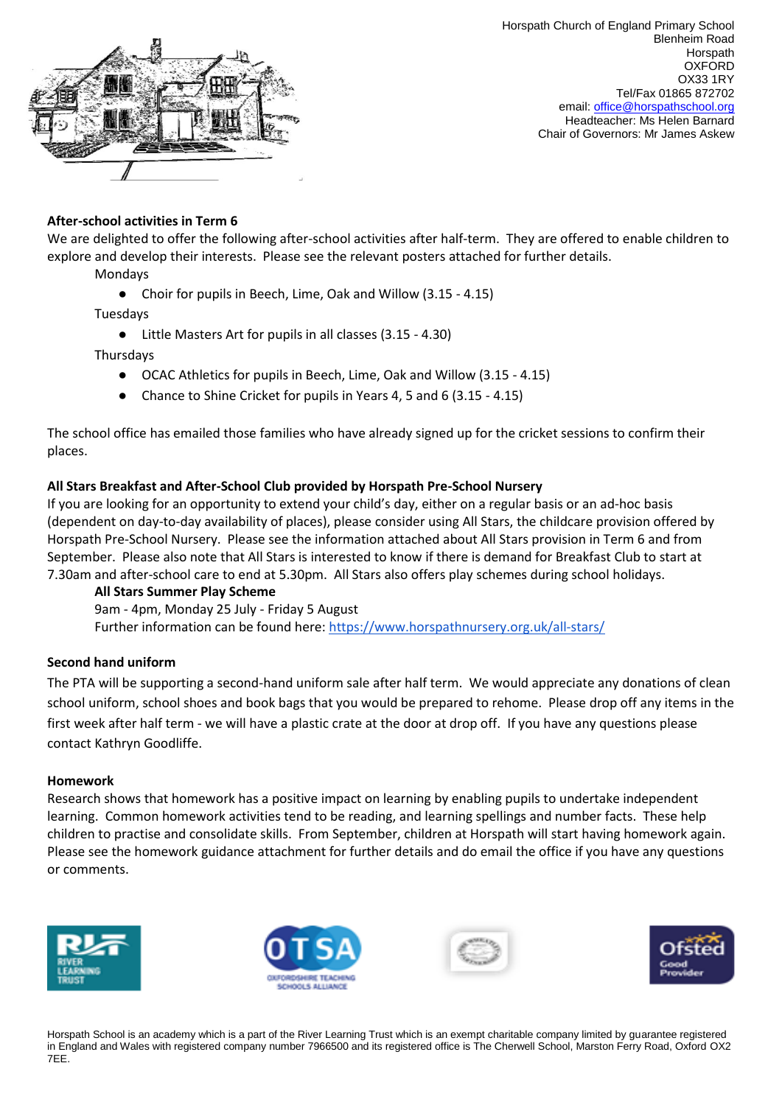

## **After-school activities in Term 6**

We are delighted to offer the following after-school activities after half-term. They are offered to enable children to explore and develop their interests. Please see the relevant posters attached for further details.

Mondays

● Choir for pupils in Beech, Lime, Oak and Willow (3.15 - 4.15)

Tuesdays

● Little Masters Art for pupils in all classes (3.15 - 4.30)

**Thursdays** 

- OCAC Athletics for pupils in Beech, Lime, Oak and Willow (3.15 4.15)
- Chance to Shine Cricket for pupils in Years 4, 5 and 6 (3.15 4.15)

The school office has emailed those families who have already signed up for the cricket sessions to confirm their places.

#### **All Stars Breakfast and After-School Club provided by Horspath Pre-School Nursery**

If you are looking for an opportunity to extend your child's day, either on a regular basis or an ad-hoc basis (dependent on day-to-day availability of places), please consider using All Stars, the childcare provision offered by Horspath Pre-School Nursery. Please see the information attached about All Stars provision in Term 6 and from September. Please also note that All Stars is interested to know if there is demand for Breakfast Club to start at 7.30am and after-school care to end at 5.30pm. All Stars also offers play schemes during school holidays.

**All Stars Summer Play Scheme**

9am - 4pm, Monday 25 July - Friday 5 August Further information can be found here:<https://www.horspathnursery.org.uk/all-stars/>

#### **Second hand uniform**

The PTA will be supporting a second-hand uniform sale after half term. We would appreciate any donations of clean school uniform, school shoes and book bags that you would be prepared to rehome. Please drop off any items in the first week after half term - we will have a plastic crate at the door at drop off. If you have any questions please contact Kathryn Goodliffe.

#### **Homework**

Research shows that homework has a positive impact on learning by enabling pupils to undertake independent learning. Common homework activities tend to be reading, and learning spellings and number facts. These help children to practise and consolidate skills. From September, children at Horspath will start having homework again. Please see the homework guidance attachment for further details and do email the office if you have any questions or comments.







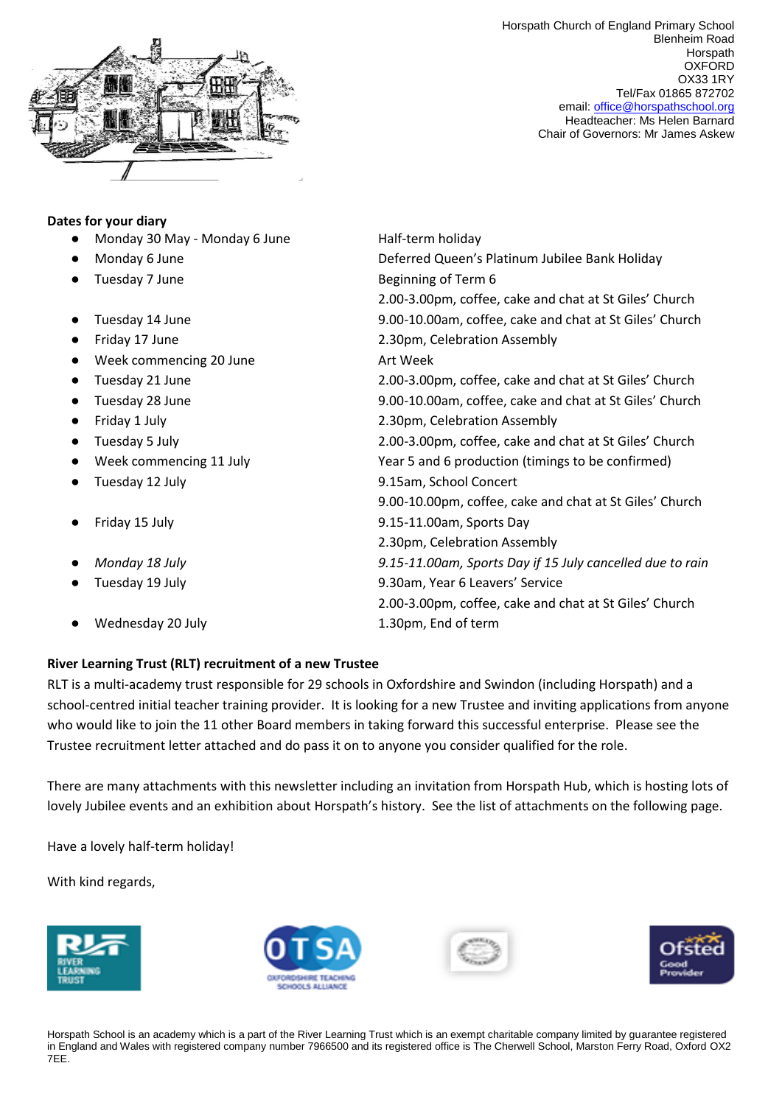

Horspath Church of England Primary School Blenheim Road **Horspath OXFORD** OX33 1RY Tel/Fax 01865 872702 email: [office@horspathschool.org](mailto:office@horspathschool.orgk) Headteacher: Ms Helen Barnard Chair of Governors: Mr James Askew

### **Dates for your diary**

- Monday 30 May Monday 6 June Half-term holiday
- 
- 
- 
- 
- Week commencing 20 June Art Week
- 
- 
- 
- 
- 
- 
- 
- 
- 
- Wednesday 20 July 1.30pm, End of term
- Monday 6 June 2022 2022 2022 2022 Deferred Queen's Platinum Jubilee Bank Holiday ● Tuesday 7 June Beginning of Term 6 2.00-3.00pm, coffee, cake and chat at St Giles' Church ● Tuesday 14 June 19.00-10.00am, coffee, cake and chat at St Giles' Church ● Friday 17 June 2.30pm, Celebration Assembly ● Tuesday 21 June 2.00-3.00pm, coffee, cake and chat at St Giles' Church ● Tuesday 28 June 28 June 2000 10.000 am, coffee, cake and chat at St Giles' Church ● Friday 1 July 2.30pm, Celebration Assembly ● Tuesday 5 July 2.00-3.00pm, coffee, cake and chat at St Giles' Church Week commencing 11 July **Year 5 and 6 production (timings to be confirmed)** ● Tuesday 12 July 9.15am, School Concert 9.00-10.00pm, coffee, cake and chat at St Giles' Church ● Friday 15 July 9.15-11.00am, Sports Day 2.30pm, Celebration Assembly ● *Monday 18 July 9.15-11.00am, Sports Day if 15 July cancelled due to rain* ● Tuesday 19 July 9.30am, Year 6 Leavers' Service 2.00-3.00pm, coffee, cake and chat at St Giles' Church

# **River Learning Trust (RLT) recruitment of a new Trustee**

RLT is a multi-academy trust responsible for 29 schools in Oxfordshire and Swindon (including Horspath) and a school-centred initial teacher training provider. It is looking for a new Trustee and inviting applications from anyone who would like to join the 11 other Board members in taking forward this successful enterprise. Please see the Trustee recruitment letter attached and do pass it on to anyone you consider qualified for the role.

There are many attachments with this newsletter including an invitation from Horspath Hub, which is hosting lots of lovely Jubilee events and an exhibition about Horspath's history. See the list of attachments on the following page.

Have a lovely half-term holiday!

With kind regards,